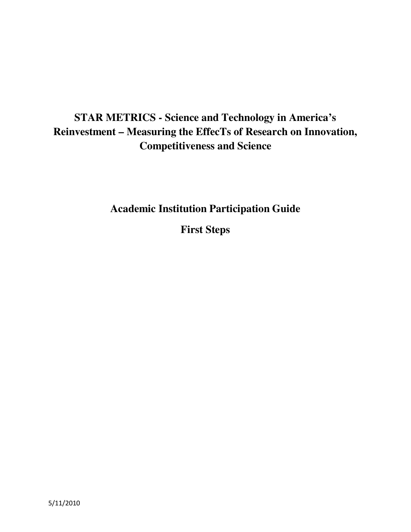# **STAR METRICS - Science and Technology in America's Reinvestment – Measuring the EffecTs of Research on Innovation, Competitiveness and Science**

**Academic Institution Participation Guide** 

**First Steps**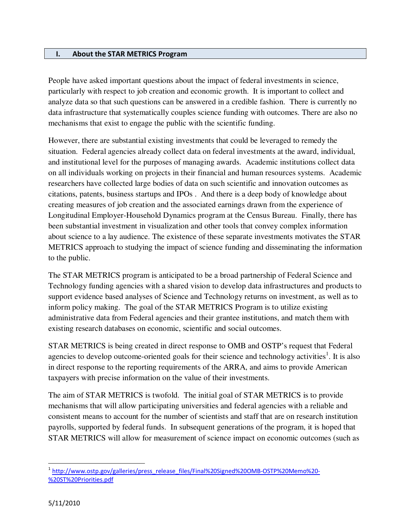#### I. About the STAR METRICS Program

People have asked important questions about the impact of federal investments in science, particularly with respect to job creation and economic growth. It is important to collect and analyze data so that such questions can be answered in a credible fashion. There is currently no data infrastructure that systematically couples science funding with outcomes. There are also no mechanisms that exist to engage the public with the scientific funding.

However, there are substantial existing investments that could be leveraged to remedy the situation. Federal agencies already collect data on federal investments at the award, individual, and institutional level for the purposes of managing awards. Academic institutions collect data on all individuals working on projects in their financial and human resources systems. Academic researchers have collected large bodies of data on such scientific and innovation outcomes as citations, patents, business startups and IPOs . And there is a deep body of knowledge about creating measures of job creation and the associated earnings drawn from the experience of Longitudinal Employer-Household Dynamics program at the Census Bureau. Finally, there has been substantial investment in visualization and other tools that convey complex information about science to a lay audience. The existence of these separate investments motivates the STAR METRICS approach to studying the impact of science funding and disseminating the information to the public.

The STAR METRICS program is anticipated to be a broad partnership of Federal Science and Technology funding agencies with a shared vision to develop data infrastructures and products to support evidence based analyses of Science and Technology returns on investment, as well as to inform policy making. The goal of the STAR METRICS Program is to utilize existing administrative data from Federal agencies and their grantee institutions, and match them with existing research databases on economic, scientific and social outcomes.

STAR METRICS is being created in direct response to OMB and OSTP's request that Federal agencies to develop outcome-oriented goals for their science and technology activities<sup>1</sup>. It is also in direct response to the reporting requirements of the ARRA, and aims to provide American taxpayers with precise information on the value of their investments.

The aim of STAR METRICS is twofold. The initial goal of STAR METRICS is to provide mechanisms that will allow participating universities and federal agencies with a reliable and consistent means to account for the number of scientists and staff that are on research institution payrolls, supported by federal funds. In subsequent generations of the program, it is hoped that STAR METRICS will allow for measurement of science impact on economic outcomes (such as

-

<sup>&</sup>lt;sup>1</sup> http://www.ostp.gov/galleries/press\_release\_files/Final%20Signed%20OMB-OSTP%20Memo%20-%20ST%20Priorities.pdf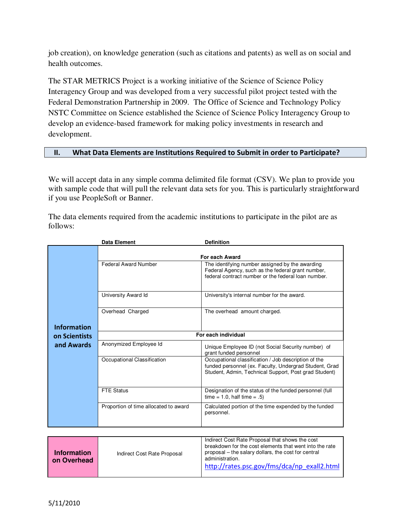job creation), on knowledge generation (such as citations and patents) as well as on social and health outcomes.

The STAR METRICS Project is a working initiative of the Science of Science Policy Interagency Group and was developed from a very successful pilot project tested with the Federal Demonstration Partnership in 2009. The Office of Science and Technology Policy NSTC Committee on Science established the Science of Science Policy Interagency Group to develop an evidence-based framework for making policy investments in research and development.

#### II. What Data Elements are Institutions Required to Submit in order to Participate?

We will accept data in any simple comma delimited file format (CSV). We plan to provide you with sample code that will pull the relevant data sets for you. This is particularly straightforward if you use PeopleSoft or Banner.

The data elements required from the academic institutions to participate in the pilot are as follows:

|                    | <b>Data Element</b>                   | <b>Definition</b>                                                                                                                                                       |
|--------------------|---------------------------------------|-------------------------------------------------------------------------------------------------------------------------------------------------------------------------|
|                    |                                       | For each Award                                                                                                                                                          |
|                    | <b>Federal Award Number</b>           | The identifying number assigned by the awarding<br>Federal Agency, such as the federal grant number,<br>federal contract number or the federal loan number.             |
|                    | University Award Id                   | University's internal number for the award.                                                                                                                             |
| <b>Information</b> | Overhead Charged                      | The overhead amount charged.                                                                                                                                            |
| on Scientists      | For each individual                   |                                                                                                                                                                         |
| and Awards         | Anonymized Employee Id                | Unique Employee ID (not Social Security number) of<br>grant funded personnel                                                                                            |
|                    | Occupational Classification           | Occupational classification / Job description of the<br>funded personnel (ex. Faculty, Undergrad Student, Grad<br>Student, Admin, Technical Support, Post grad Student) |
|                    | <b>FTE Status</b>                     | Designation of the status of the funded personnel (full<br>time = $1.0$ , half time = $.5$ )                                                                            |
|                    | Proportion of time allocated to award | Calculated portion of the time expended by the funded<br>personnel.                                                                                                     |

| <b>Information</b><br>on Overhead | Indirect Cost Rate Proposal | Indirect Cost Rate Proposal that shows the cost<br>breakdown for the cost elements that went into the rate<br>proposal – the salary dollars, the cost for central<br>administration.<br>http://rates.psc.gov/fms/dca/np exall2.html |
|-----------------------------------|-----------------------------|-------------------------------------------------------------------------------------------------------------------------------------------------------------------------------------------------------------------------------------|
|-----------------------------------|-----------------------------|-------------------------------------------------------------------------------------------------------------------------------------------------------------------------------------------------------------------------------------|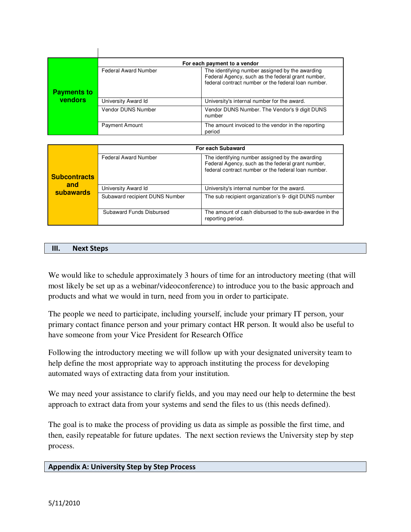|                    | For each payment to a vendor |                                                                                                                                                             |
|--------------------|------------------------------|-------------------------------------------------------------------------------------------------------------------------------------------------------------|
| <b>Payments to</b> | <b>Federal Award Number</b>  | The identifying number assigned by the awarding<br>Federal Agency, such as the federal grant number,<br>federal contract number or the federal loan number. |
|                    |                              |                                                                                                                                                             |
| vendors            | University Award Id          | University's internal number for the award.                                                                                                                 |
|                    | Vendor DUNS Number           | Vendor DUNS Number. The Vendor's 9 digit DUNS<br>number                                                                                                     |
|                    | <b>Payment Amount</b>        | The amount invoiced to the vendor in the reporting<br>period                                                                                                |

|                     | For each Subaward              |                                                                                                                                                             |
|---------------------|--------------------------------|-------------------------------------------------------------------------------------------------------------------------------------------------------------|
| <b>Subcontracts</b> | <b>Federal Award Number</b>    | The identifying number assigned by the awarding<br>Federal Agency, such as the federal grant number,<br>federal contract number or the federal loan number. |
| and                 |                                |                                                                                                                                                             |
| subawards           | University Award Id            | University's internal number for the award.                                                                                                                 |
|                     | Subaward recipient DUNS Number | The sub recipient organization's 9- digit DUNS number                                                                                                       |
|                     | Subaward Funds Disbursed       | The amount of cash disbursed to the sub-awardee in the<br>reporting period.                                                                                 |

#### III. Next Steps

 $\mathbf{I}$ 

We would like to schedule approximately 3 hours of time for an introductory meeting (that will most likely be set up as a webinar/videoconference) to introduce you to the basic approach and products and what we would in turn, need from you in order to participate.

The people we need to participate, including yourself, include your primary IT person, your primary contact finance person and your primary contact HR person. It would also be useful to have someone from your Vice President for Research Office

Following the introductory meeting we will follow up with your designated university team to help define the most appropriate way to approach instituting the process for developing automated ways of extracting data from your institution.

We may need your assistance to clarify fields, and you may need our help to determine the best approach to extract data from your systems and send the files to us (this needs defined).

The goal is to make the process of providing us data as simple as possible the first time, and then, easily repeatable for future updates. The next section reviews the University step by step process.

#### Appendix A: University Step by Step Process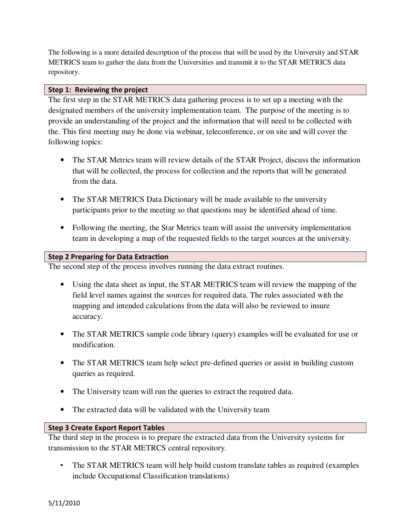The following is a more detailed description of the process that will be used by the University and STAR METRICS team to gather the data from the Universities and transmit it to the STAR METRICS data repository.

#### Step 1: Reviewing the project

The first step in the STAR METRICS data gathering process is to set up a meeting with the designated members of the university implementation team. The purpose of the meeting is to provide an understanding of the project and the information that will need to be collected with the. This first meeting may be done via webinar, teleconference, or on site and will cover the following topics:

- The STAR Metrics team will review details of the STAR Project, discuss the information that will be collected, the process for collection and the reports that will be generated from the data.
- The STAR METRICS Data Dictionary will be made available to the university participants prior to the meeting so that questions may be identified ahead of time.
- Following the meeting, the Star Metrics team will assist the university implementation team in developing a map of the requested fields to the target sources at the university.

#### Step 2 Preparing for Data Extraction

The second step of the process involves running the data extract routines.

- Using the data sheet as input, the STAR METRICS team will review the mapping of the field level names against the sources for required data. The rules associated with the mapping and intended calculations from the data will also be reviewed to insure accuracy.
- The STAR METRICS sample code library (query) examples will be evaluated for use or modification.
- The STAR METRICS team help select pre-defined queries or assist in building custom queries as required.
- The University team will run the queries to extract the required data.
- The extracted data will be validated with the University team

## Step 3 Create Export Report Tables

The third step in the process is to prepare the extracted data from the University systems for transmission to the STAR METRCS central repository.

• The STAR METRICS team will help build custom translate tables as required (examples include Occupational Classification translations)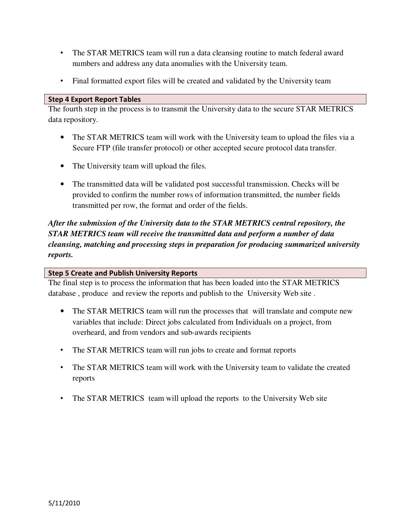- The STAR METRICS team will run a data cleansing routine to match federal award numbers and address any data anomalies with the University team.
- Final formatted export files will be created and validated by the University team

#### Step 4 Export Report Tables

The fourth step in the process is to transmit the University data to the secure STAR METRICS data repository.

- The STAR METRICS team will work with the University team to upload the files via a Secure FTP (file transfer protocol) or other accepted secure protocol data transfer.
- The University team will upload the files.
- The transmitted data will be validated post successful transmission. Checks will be provided to confirm the number rows of information transmitted, the number fields transmitted per row, the format and order of the fields.

*After the submission of the University data to the STAR METRICS central repository, the STAR METRICS team will receive the transmitted data and perform a number of data cleansing, matching and processing steps in preparation for producing summarized university reports.* 

#### Step 5 Create and Publish University Reports

The final step is to process the information that has been loaded into the STAR METRICS database , produce and review the reports and publish to the University Web site .

- The STAR METRICS team will run the processes that will translate and compute new variables that include: Direct jobs calculated from Individuals on a project, from overheard, and from vendors and sub-awards recipients
- The STAR METRICS team will run jobs to create and format reports
- The STAR METRICS team will work with the University team to validate the created reports
- The STAR METRICS team will upload the reports to the University Web site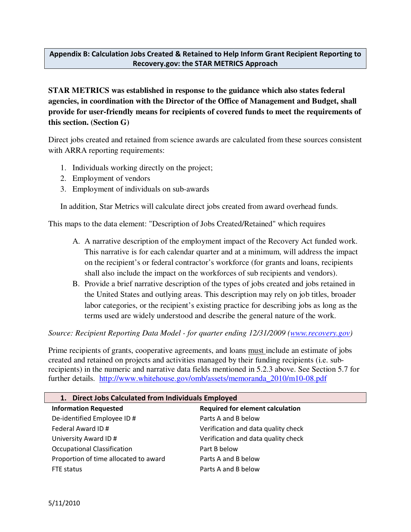# Appendix B: Calculation Jobs Created & Retained to Help Inform Grant Recipient Reporting to Recovery.gov: the STAR METRICS Approach

**STAR METRICS was established in response to the guidance which also states federal agencies, in coordination with the Director of the Office of Management and Budget, shall provide for user-friendly means for recipients of covered funds to meet the requirements of this section. (Section G)** 

Direct jobs created and retained from science awards are calculated from these sources consistent with ARRA reporting requirements:

- 1. Individuals working directly on the project;
- 2. Employment of vendors
- 3. Employment of individuals on sub-awards

In addition, Star Metrics will calculate direct jobs created from award overhead funds.

This maps to the data element: "Description of Jobs Created/Retained" which requires

- A. A narrative description of the employment impact of the Recovery Act funded work. This narrative is for each calendar quarter and at a minimum, will address the impact on the recipient's or federal contractor's workforce (for grants and loans, recipients shall also include the impact on the workforces of sub recipients and vendors).
- B. Provide a brief narrative description of the types of jobs created and jobs retained in the United States and outlying areas. This description may rely on job titles, broader labor categories, or the recipient's existing practice for describing jobs as long as the terms used are widely understood and describe the general nature of the work.

## *Source: Recipient Reporting Data Model - for quarter ending 12/31/2009 (www.recovery.gov)*

Prime recipients of grants, cooperative agreements, and loans must include an estimate of jobs created and retained on projects and activities managed by their funding recipients (i.e. subrecipients) in the numeric and narrative data fields mentioned in 5.2.3 above. See Section 5.7 for further details. http://www.whitehouse.gov/omb/assets/memoranda\_2010/m10-08.pdf

| 1. Direct Jobs Calculated from Individuals Employed |                                         |  |
|-----------------------------------------------------|-----------------------------------------|--|
| <b>Information Requested</b>                        | <b>Required for element calculation</b> |  |
| De-identified Employee ID #                         | Parts A and B below                     |  |
| Federal Award ID #                                  | Verification and data quality check     |  |
| University Award ID#                                | Verification and data quality check     |  |
| <b>Occupational Classification</b>                  | Part B below                            |  |
| Proportion of time allocated to award               | Parts A and B below                     |  |
| FTE status                                          | Parts A and B below                     |  |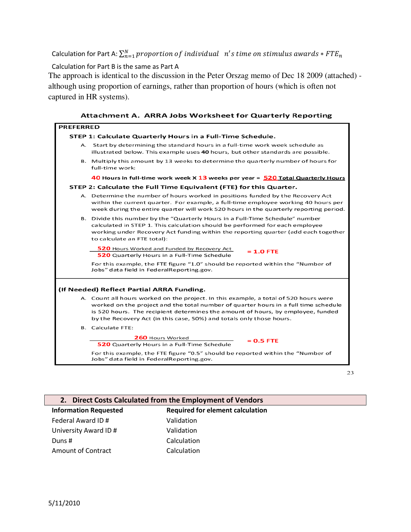Calculation for Part A:  $\sum_{n=1}^N proportion$   $of$   $indivial$   $n's$   $time$   $on$   $stimulus$   $awards * FTE_n$ 

Calculation for Part B is the same as Part A

The approach is identical to the discussion in the Peter Orszag memo of Dec 18 2009 (attached) although using proportion of earnings, rather than proportion of hours (which is often not captured in HR systems).

| <b>PREFERRED</b> |                                                                                                                                                                                                                                                                                                                                        |  |  |
|------------------|----------------------------------------------------------------------------------------------------------------------------------------------------------------------------------------------------------------------------------------------------------------------------------------------------------------------------------------|--|--|
|                  | STEP 1: Calculate Quarterly Hours in a Full-Time Schedule.                                                                                                                                                                                                                                                                             |  |  |
| А.               | Start by determining the standard hours in a full-time work week schedule as<br>illustrated below. This example uses 40 hours, but other standards are possible.                                                                                                                                                                       |  |  |
|                  | B. Multiply this amount by 13 weeks to determine the quarterly number of hours for<br>full-time work:                                                                                                                                                                                                                                  |  |  |
|                  | 40 Hours in full-time work week X 13 weeks per year = 520 Total Quarterly Hours                                                                                                                                                                                                                                                        |  |  |
|                  | STEP 2: Calculate the Full Time Equivalent (FTE) for this Quarter.                                                                                                                                                                                                                                                                     |  |  |
|                  | A. Determine the number of hours worked in positions funded by the Recovery Act<br>within the current quarter. For example, a full-time employee working 40 hours per<br>week during the entire quarter will work 520 hours in the quarterly reporting period.                                                                         |  |  |
|                  | B. Divide this number by the "Quarterly Hours in a Full-Time Schedule" number<br>calculated in STEP 1. This calculation should be performed for each employee<br>working under Recovery Act funding within the reporting quarter (add each together<br>to calculate an FTE total):                                                     |  |  |
|                  | <b>520</b> Hours Worked and Funded by Recovery Act<br>$= 1.0$ FTE<br><b>520</b> Quarterly Hours in a Full-Time Schedule                                                                                                                                                                                                                |  |  |
|                  | For this example, the FTE figure "1.0" should be reported within the "Number of<br>Jobs" data field in FederalReporting.gov.                                                                                                                                                                                                           |  |  |
|                  | (If Needed) Reflect Partial ARRA Funding.                                                                                                                                                                                                                                                                                              |  |  |
|                  | A. Count all hours worked on the project. In this example, a total of 520 hours were<br>worked on the project and the total number of quarter hours in a full time schedule<br>is 520 hours. The recipient determines the amount of hours, by employee, funded<br>by the Recovery Act (in this case, 50%) and totals only those hours. |  |  |
|                  | <b>B.</b> Calculate FTE:                                                                                                                                                                                                                                                                                                               |  |  |
|                  | 260 Hours Worked<br>$= 0.5$ FTE<br>520 Quarterly Hours in a Full-Time Schedule                                                                                                                                                                                                                                                         |  |  |
|                  | For this example, the FTE figure "0.5" should be reported within the "Number of<br>Jobs" data field in FederalReporting.gov.                                                                                                                                                                                                           |  |  |

**Attachment A. ARRA Jobs Worksheet for Quarterly Reporting** 



## 2. Direct Costs Calculated from the Employment of Vendors

| <b>Information Requested</b> | <b>Required for element calculation</b> |
|------------------------------|-----------------------------------------|
| Federal Award ID #           | Validation                              |
| University Award ID #        | Validation                              |
| Duns#                        | Calculation                             |
| Amount of Contract           | Calculation                             |